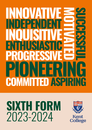# **PRESSI INDVATIV INQUISITIVE COMMITTED ASPIRING PIONEERING INDEPENDENT ENTHUSIASTIC MOTIVATED SUCCESSFULL**

# **SIXTH FORM** 2023-2024

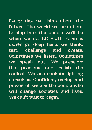**Every day we think about the future. The world we are about to step into, the people we'll be when we do. KC Sixth Form is us.We go deep here, we think, test, challenge and create. Sometimes we listen. Sometimes we speak out. We preserve the precious and relish the radical. We are rockets lighting ourselves. Confident, caring and powerful, we are the people who will change societies and lives. We can't wait to begin.**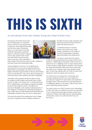# **THIS IS SIXTH**

#### An introduction from Mrs Wendy Young Min, Head of Sixth Form

Moving into the Sixth Form is the most exciting part of a student's time at school. It is the opportunity to discover what subjects fascinate, and the best ways of studying them. It is in the Sixth Form that students will develop a genuine sense of what they want to achieve, of how they perceive the world and what kind of a person they want to become. They will begin to



take charge of their future, grow in self-confidence and learn important leadership skills.

I feel privileged to see how our students grow and develop to become the compassionate and determined young adults who leave us to pursue higher education opportunities at the top universities in the UK and abroad. They never fail to surprise me with their ideas, their passions and their originality.

We believe that students should be able to study the subjects which inspire and excite them, which is why we offer over twenty five A Levels and three BTEC qualifications, and design a bespoke timetable around each student's choice. This allows for maximum flexibility with students selecting three or four subjects. If students are studying the subjects they really enjoy, in small classes with dedicated and enthusiastic teachers, they are off to a flying start.

We have introduced the exciting new Kent College Honours Programme which enables students to

broaden horizons, gain expertise and practical experience that will serve well in life beyond school.

A dedicated Head of Careers, based in the Sixth Form, helps prepare students for the range of routes through higher education, apprenticeships and employment.

I am all too aware that the mental

health of young people has never been under more pressure. Balancing the demands of life in and out of school can be a challenge and it is vital at these times to have a team to help support students. Tutor groups are small and students meet their tutors every day. My study door is always open and I spend a large part of each day talking with our Sixth Formers and listening to their successes and concerns.

Our Sixth Form is a supportive community and recently students have set up a new initiative to provide peer support for each other and students in younger years. This has also led to the appointment of Wellbeing Officers to the Senior Officer team and a peer mentoring training scheme.

We want to give our Sixth Formers every advantage in their time with us: academic success, an enjoyment of new experiences and opportunities to learn and make new friends, self-belief and an understanding of what they want to do with their life. They are the future.



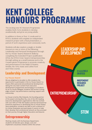# **KENT COLLEGE HONOURS PROGRAMME**

File Sooning How Ro Honodr's Fregram<br>enables Sixth Form students to develop<br>academically and grow as young adults<br>In addition to three or four A Levels and<br>BTECs, students will complete an indepe The exciting new KC Honours Programme academically and grow as young adults.

In addition to three or four A Levels and/or BTECs, students will complete an independent research project with a final presentation, a period of work experience and community work.

Students will also explore a single or double Honours in one or more of the following: Leadership and Personal Development through the Ivy House Award, Research Skills by completing the Extended Project Qualification (EPQ), the STEM Crest Award, Entrepreneurship through setting up a small business and in the Conservatoire Programme to promote creativity and performance in the fields of theatre, textiles, the Arts, music and Leiths Food and Wine course.

# **Leadership and Development**

#### **Ivy House Award**

We are delighted to be able to offer students the opportunity to participate in the Ivy House Award. Ivy House offers personal and professional development, taking the very best content from executive development programmes and bringing it to students. As an Ivy House delegate, students will receive cuttingedge content, top performance coaching, support and mentorship.

Ivy House is led by Elke Edwards, the founding partner of the award-winning Blue Sky, one of the UK's leading executive development organisations. Elke has worked with over 40% of FTSE 100 leaders and has harnessed her extensive experience in developing the Ivy House Award. Upon graduation, students are able to join a network of Ivy House Graduates and participate in events to help them develop their professional network as they proceed on their journey through Higher Education and beyond.

# **Entrepreneurship**

Working closely with the Business Department, students will decide upon, design, cost and implement a business initiative within the school.

# leadership and development

3-4 A Levels **OR BTFCS** 

INDEPENDENT **RESEARCH PROJECT** 

### **ENTREPRENEURSHIP**

# **STEM**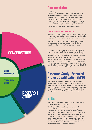### **Conservatoire**

Kent College is renowned for its Creative and Performing Arts and the Conservatoire Honours is awarded to students who participate fully in the creative life of the Sixth Form. This includes taking part in drama or musical performances, helping out behind the scenes, making costumes and props as well as those students who take LAMDA and musical exams. The Leiths Wine and Food Course also forms part of the Conservatoire Honours Programme.

#### **Leiths Food and Wine Course**

Kent College is one of 50 schools in the country which offer the prestigious Leiths Introductory Certificate in Food and Wine under their Leiths Academy scheme.

This course is offered in addition to A Level courses, for an additional fee, and teaches classical and creative cookery in a professional but informal atmosphere.

Students take the course in the Lower Sixth, with both the theory and practical examinations after Easter, thus freeing them to concentrate on their A Level studies in the last half of the summer term. Students will receive two awards for the course, the first of which is the highly prestigious Leiths School of Food and Wine Introductory Certificate. The second, as part of the Leiths course, is The Confederation of Tourism and Hospitality award. A 'CTH' merit is worth 24 UCAS points and a distinction 36 points.

### **Research Study- Extended Project Qualification (EPQ)**

The EPQ is an independent piece of work where students receive instruction but most of the project is self-guided. It will demonstrate, to both universities and future employers, an independent work ethic and develop skills required for study at higher level. It will also give the same UCAS tariff as half an A Level.

## **STEM**

The STEM Honours focuses upon the completion of the CREST Award at Gold level.

The Gold CREST Award is a student led in-depth project. Students choose the topic and type of project they want to run. At this level, students are encouraged to collaborate with a CREST mentor – an academic or person from industry with expertise in their project's theme. CREST Gold Awards are highly sought after, and are a valuable way to enhance a student's UCAS personal statement or CV. Students who complete the STEM Honours would also be awarded an Honours in Research Study.

# **CONSERVATOIRE**

#### WORK **EXPERIENCE**

**COMMUNITY WORK** 

### **RESEARCH** study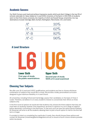#### **Academic Success**

Our Sixth Formers work hard and achieve impressive results which puts Kent College in the top 5% of schools nationally for Value Added at A Level (CEM, University of Durham). In 2021, 83% of students went to their first choice university, the majority of which are Russell Group universities. Our top destinations include Oxbridge, Bath, Durham, Nottingham, Manchester, UCL and Exeter.

| $A^*$    | 35%    |
|----------|--------|
| $A^*$ -A | $62\%$ |
| $A^*$ -B | $82\%$ |
| $A^*$ –C | 96%    |

#### **A Level Structure**



#### **Choosing Your Subjects**

We offer over 25 A Level and 3 BTEC qualifications, and students are free to choose whichever combination of subjects they would like to study. We provide a totally personalised curriculum designed to give maximum flexibility in A Level choice.

All universities, including Oxford and Cambridge, assess their candidates on the basis of three A Levels. Therefore, we believe it is in every student's interest to concentrate their efforts on three subjects only.

In the first round of options we would ask that students only choose the three subjects that they are most keen on studying. However, from experience, we know it is good to try out a range of subjects before absolutely committing to the final three. To that end, once we have the option blocks finalised, Mr Mossman will write to all the students, allowing them to pick a fourth option to trial for the first half term or longer.

If a student is intent on completing four particular A Levels, they should choose three options and contact Mr Mossman (mossmanj@kentcollege.kent.sch.uk) to ensure a fourth choice remains possible within the blocks.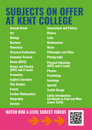# **SUBJECTS ON OFFER AT KENT COLLEGE**

**Ancient Greek Art Biology Business Chemistry Classical Civilisation Computer Science Dance (BTEC) Drama and Theatre (BTEC and A Level) Economics English Literature Film Studies French Further Mathematics Geography German**

**Government and Politics History Latin Mathematics Music Philosophy and Ethics Photography Physical Education (BTEC and A Level) Physics Psychology Sociology Spanish Textile Design Leiths Introductory Certificate in Food and Wine (Lower Sixth)**

# **WATCH OUR A LEVEL SUBECT VIDEOS**

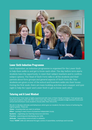

#### **Lower Sixth Induction Programme**

Each September, an induction programme is organised for the Lower Sixth to help them settle in and get to know each other. The day before term starts students have the opportunity to meet their subject teachers and to confirm subject options. The Head of Sixth Form talks to all the students and their parents about form groups and general aspects of Sixth Form life. New students are given a tour of the school and boarders settle into their house. During the first week, there are team building activities and a supper and quiz night to help the Upper and Lower Sixth to get to know each other.

#### **Tutoring and A Level Mindset**

Our Sixth Form Tutor team is highly experienced with many of them Heads of Subject. Tutor groups are small and students meet with their tutors every day; they provide a valuable bridge between home and school and whichever route students choose after their time at KC.

We aim to develop attitudes and behaviours which give our students the best chance of achieving the highest grades. These are:

**Vision** - knowing what you want to achieve

**Effort** - putting in many hours of proactive independent study

**Systems** - organising your learning resources and time

**Practice** - practising and developing your skills

Attitude - responding constructively to setbacks

These '**VESPA**' skills are delivered through a series of assemblies, workshops and tutorials.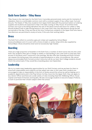#### **Sixth Form Centre - Tilley House**

Tilley House is the main base for the Sixth Form. It provides personal study rooms and, for moments of relaxation, there is a comfortable common room with a constant supply of tea, coffee, toast, fruit and biscuits. The Heads of Tilley (two students from Upper Sixth) deal with the practical matters of ordering supplies and students are expected to help in the daily running of Tilley House. At lunchtime Sixth Formers can to go to the dining hall before the rest of the Senior School and return for coffee in Tilley. Should students wish to take driving lessons in the Lower Sixth, they may take lessons during the last two periods of the day, if they are free at this time. Furthermore, students in the Upper Sixth who have a free afternoon are permitted to study at home, if this suits their working habits.

#### **Dress**

The Sixth Form uniform is currently a grey pin-stripe suit supplied by School Blazer (www.schoolblazer.com). It is worn with a choice of plain or candy-stripe shirts also supplied by School Blazer. Shoes should be smart and not excessively high-heeled.

#### **Boarding**

There are a high proportion of boarders in the Sixth Form, a number of whom arrive new into the Lower Sixth. Day students often ask to change to weekly or full boarding in the Lower Sixth so that they have access to the library and IT resources in the evenings. We also offer flexi-boarding and Sixth Formers can request this during exam time, periods of parental absence or other circumstances. We cannot always accommodate Sixth Formers at short notice but will do our best. Kent College students should inform the school early if they would like a boarding place next September.

#### **Leadership**

We try to create many leadership opportunities for our Sixth Formers, and we are keen for them to show both responsibility and creativity as they adopt new roles. In the Lower Sixth, students are encouraged to take on responsibility in the form of duties around the school as well as helping out in academic departments and in the Prep School. As they move into the Upper Sixth, they can apply to be a Senior Officer and there are a wide variety of roles including Head Girl, Wellbeing Officer, House Captain and Head of Diversity and Equality. We also encourage students to become Subject Prefects, to work to promote their chosen subject within the school.

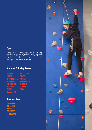#### **Sport**

Everyone in the Sixth Form takes part in two sessions of Sport and Wellbeing each week and there is flexibility for Sixth Formers to choose which activities they take part in. Examples of the type of activities available are:

#### **Autumn & Spring Terms**

**HOCKEY** TRALI Trampolining BODY COMB DMINTON Swimming Rugby Volleyball **BASKETBALL** Zumba **PILATES** Fitness suite Bench Ball Climbing Yoga

#### **Summer Term**

**SWIMMING ATHLETICS** Tennis **ROUNDERS** Fitness Suite

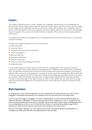#### **Careers**

The Careers Programme aims to widen, deepen and challenge understanding of the possibilities, so that all Sixth Formers make positive and well-informed choices about their future. Every decision made by our students is an individual one and our team work closely with students, their academic, pastoral and co-curricular teachers and tutors together with their support network at home and in the boarding house. To support this process, the Head of Careers is based in Tilley and is on hand to give guidance and support.

To broaden the students' knowledge there is a timetabled session each week focusing on a wide range of topics including:

- $\rightarrow$  applying to higher education in the UK and overseas
- $\rightarrow$  apprenticeships
- $\rightarrow$  work experience
- $\rightarrow$  writing an effective personal statement
- **Career management**
- $\rightarrow$  gap year planning
- $\rightarrow$  graduate employment
- $\rightarrow$  interview technique
- $\rightarrow$  resilience and the psychology of success
- $\rightarrow$  leadership skills

It is our responsibility to ensure that every Sixth Former is equipped with the necessary skills and resources to make their chosen pathway an exceptional one. Therefore, each Sixth Former will develop their own pathway portfolio which records all of their achievements (personal, academic, sporting etc.) together with a record of work experience, community service, travel and employment. We are also able to monitor and support our Sixth Formers with Unifrog (www.unifrog.org), specialist software that stores our students' skills and interests and links them to opportunities beyond school. We expect all Sixth Formers to take advantage of the opportunities on offer to them whilst they are at KC and encourage input from home and suggestions on how this provision can be tailored to support the needs of each individual.

#### **Work Experience**

An integral part of the Careers Programme is work experience. We expect all Sixth Formers to have engaged in meaningful and relevant work experience by the time they enter the Upper Sixth.

Students are encouraged to engage in a variety of placements to ensure all potential pathways are explored. We have a database of relevant opportunities and encourage the students to apply for the most competitive placements as early as possible. We provide expert advice when writing applications for work experience, so that students have the best chance of securing these highly sought-after placements. Sixth Formers need to be proactive and ambitious from the outset.

We are continuing to develop our work experience provision and ask all parents and guardians to complete our skills audit and offer work placements if they are able.